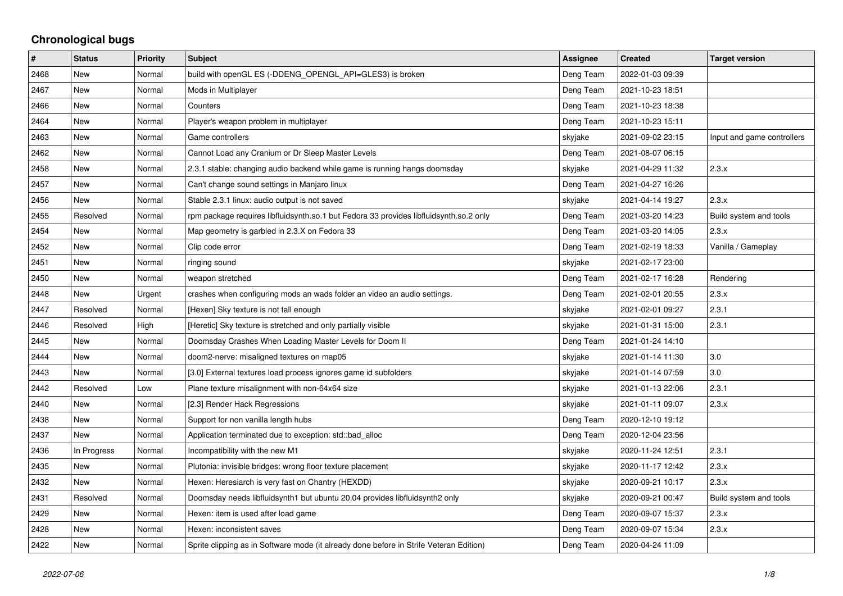## **Chronological bugs**

| #    | <b>Status</b> | <b>Priority</b> | <b>Subject</b>                                                                         | Assignee  | <b>Created</b>   | <b>Target version</b>      |
|------|---------------|-----------------|----------------------------------------------------------------------------------------|-----------|------------------|----------------------------|
| 2468 | New           | Normal          | build with openGL ES (-DDENG OPENGL API=GLES3) is broken                               | Deng Team | 2022-01-03 09:39 |                            |
| 2467 | <b>New</b>    | Normal          | Mods in Multiplayer                                                                    | Deng Team | 2021-10-23 18:51 |                            |
| 2466 | New           | Normal          | Counters                                                                               | Deng Team | 2021-10-23 18:38 |                            |
| 2464 | New           | Normal          | Player's weapon problem in multiplayer                                                 | Deng Team | 2021-10-23 15:11 |                            |
| 2463 | <b>New</b>    | Normal          | Game controllers                                                                       | skyjake   | 2021-09-02 23:15 | Input and game controllers |
| 2462 | New           | Normal          | Cannot Load any Cranium or Dr Sleep Master Levels                                      | Deng Team | 2021-08-07 06:15 |                            |
| 2458 | New           | Normal          | 2.3.1 stable: changing audio backend while game is running hangs doomsday              | skyjake   | 2021-04-29 11:32 | 2.3.x                      |
| 2457 | <b>New</b>    | Normal          | Can't change sound settings in Manjaro linux                                           | Deng Team | 2021-04-27 16:26 |                            |
| 2456 | New           | Normal          | Stable 2.3.1 linux: audio output is not saved                                          | skyjake   | 2021-04-14 19:27 | 2.3.x                      |
| 2455 | Resolved      | Normal          | rpm package requires libfluidsynth.so.1 but Fedora 33 provides libfluidsynth.so.2 only | Deng Team | 2021-03-20 14:23 | Build system and tools     |
| 2454 | New           | Normal          | Map geometry is garbled in 2.3.X on Fedora 33                                          | Deng Team | 2021-03-20 14:05 | 2.3.x                      |
| 2452 | New           | Normal          | Clip code error                                                                        | Deng Team | 2021-02-19 18:33 | Vanilla / Gameplay         |
| 2451 | New           | Normal          | ringing sound                                                                          | skyjake   | 2021-02-17 23:00 |                            |
| 2450 | <b>New</b>    | Normal          | weapon stretched                                                                       | Deng Team | 2021-02-17 16:28 | Rendering                  |
| 2448 | New           | Urgent          | crashes when configuring mods an wads folder an video an audio settings.               | Deng Team | 2021-02-01 20:55 | 2.3.x                      |
| 2447 | Resolved      | Normal          | [Hexen] Sky texture is not tall enough                                                 | skyjake   | 2021-02-01 09:27 | 2.3.1                      |
| 2446 | Resolved      | High            | [Heretic] Sky texture is stretched and only partially visible                          | skyjake   | 2021-01-31 15:00 | 2.3.1                      |
| 2445 | New           | Normal          | Doomsday Crashes When Loading Master Levels for Doom II                                | Deng Team | 2021-01-24 14:10 |                            |
| 2444 | <b>New</b>    | Normal          | doom2-nerve: misaligned textures on map05                                              | skyjake   | 2021-01-14 11:30 | 3.0                        |
| 2443 | New           | Normal          | [3.0] External textures load process ignores game id subfolders                        | skyjake   | 2021-01-14 07:59 | 3.0                        |
| 2442 | Resolved      | Low             | Plane texture misalignment with non-64x64 size                                         | skyjake   | 2021-01-13 22:06 | 2.3.1                      |
| 2440 | <b>New</b>    | Normal          | [2.3] Render Hack Regressions                                                          | skyjake   | 2021-01-11 09:07 | 2.3.x                      |
| 2438 | New           | Normal          | Support for non vanilla length hubs                                                    | Deng Team | 2020-12-10 19:12 |                            |
| 2437 | New           | Normal          | Application terminated due to exception: std::bad_alloc                                | Deng Team | 2020-12-04 23:56 |                            |
| 2436 | In Progress   | Normal          | Incompatibility with the new M1                                                        | skyjake   | 2020-11-24 12:51 | 2.3.1                      |
| 2435 | <b>New</b>    | Normal          | Plutonia: invisible bridges: wrong floor texture placement                             | skyjake   | 2020-11-17 12:42 | 2.3.x                      |
| 2432 | New           | Normal          | Hexen: Heresiarch is very fast on Chantry (HEXDD)                                      | skyjake   | 2020-09-21 10:17 | 2.3.x                      |
| 2431 | Resolved      | Normal          | Doomsday needs libfluidsynth1 but ubuntu 20.04 provides libfluidsynth2 only            | skyjake   | 2020-09-21 00:47 | Build system and tools     |
| 2429 | New           | Normal          | Hexen: item is used after load game                                                    | Deng Team | 2020-09-07 15:37 | 2.3.x                      |
| 2428 | New           | Normal          | Hexen: inconsistent saves                                                              | Deng Team | 2020-09-07 15:34 | 2.3.x                      |
| 2422 | <b>New</b>    | Normal          | Sprite clipping as in Software mode (it already done before in Strife Veteran Edition) | Deng Team | 2020-04-24 11:09 |                            |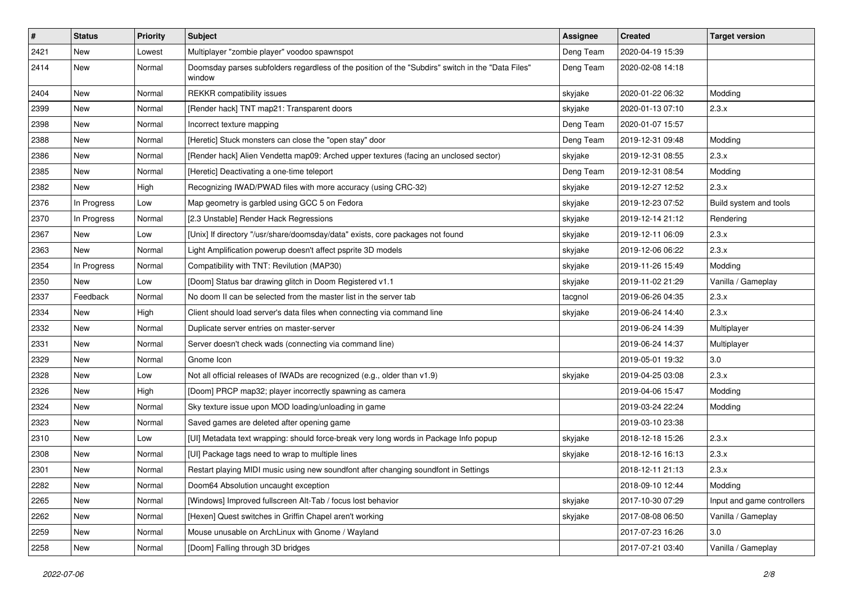| $\pmb{\#}$ | <b>Status</b> | <b>Priority</b> | Subject                                                                                                     | <b>Assignee</b> | <b>Created</b>   | <b>Target version</b>      |
|------------|---------------|-----------------|-------------------------------------------------------------------------------------------------------------|-----------------|------------------|----------------------------|
| 2421       | <b>New</b>    | Lowest          | Multiplayer "zombie player" voodoo spawnspot                                                                | Deng Team       | 2020-04-19 15:39 |                            |
| 2414       | New           | Normal          | Doomsday parses subfolders regardless of the position of the "Subdirs" switch in the "Data Files"<br>window | Deng Team       | 2020-02-08 14:18 |                            |
| 2404       | New           | Normal          | <b>REKKR</b> compatibility issues                                                                           | skyjake         | 2020-01-22 06:32 | Modding                    |
| 2399       | <b>New</b>    | Normal          | [Render hack] TNT map21: Transparent doors                                                                  | skyjake         | 2020-01-13 07:10 | 2.3.x                      |
| 2398       | New           | Normal          | Incorrect texture mapping                                                                                   | Deng Team       | 2020-01-07 15:57 |                            |
| 2388       | New           | Normal          | [Heretic] Stuck monsters can close the "open stay" door                                                     | Deng Team       | 2019-12-31 09:48 | Modding                    |
| 2386       | New           | Normal          | [Render hack] Alien Vendetta map09: Arched upper textures (facing an unclosed sector)                       | skyjake         | 2019-12-31 08:55 | 2.3.x                      |
| 2385       | New           | Normal          | [Heretic] Deactivating a one-time teleport                                                                  | Deng Team       | 2019-12-31 08:54 | Modding                    |
| 2382       | New           | High            | Recognizing IWAD/PWAD files with more accuracy (using CRC-32)                                               | skyjake         | 2019-12-27 12:52 | 2.3.x                      |
| 2376       | In Progress   | Low             | Map geometry is garbled using GCC 5 on Fedora                                                               | skyjake         | 2019-12-23 07:52 | Build system and tools     |
| 2370       | In Progress   | Normal          | [2.3 Unstable] Render Hack Regressions                                                                      | skyjake         | 2019-12-14 21:12 | Rendering                  |
| 2367       | New           | Low             | [Unix] If directory "/usr/share/doomsday/data" exists, core packages not found                              | skyjake         | 2019-12-11 06:09 | 2.3.x                      |
| 2363       | New           | Normal          | Light Amplification powerup doesn't affect psprite 3D models                                                | skyjake         | 2019-12-06 06:22 | 2.3.x                      |
| 2354       | In Progress   | Normal          | Compatibility with TNT: Revilution (MAP30)                                                                  | skyjake         | 2019-11-26 15:49 | Modding                    |
| 2350       | New           | Low             | [Doom] Status bar drawing glitch in Doom Registered v1.1                                                    | skyjake         | 2019-11-02 21:29 | Vanilla / Gameplay         |
| 2337       | Feedback      | Normal          | No doom II can be selected from the master list in the server tab                                           | tacgnol         | 2019-06-26 04:35 | 2.3.x                      |
| 2334       | New           | High            | Client should load server's data files when connecting via command line                                     | skyjake         | 2019-06-24 14:40 | 2.3.x                      |
| 2332       | New           | Normal          | Duplicate server entries on master-server                                                                   |                 | 2019-06-24 14:39 | Multiplayer                |
| 2331       | New           | Normal          | Server doesn't check wads (connecting via command line)                                                     |                 | 2019-06-24 14:37 | Multiplayer                |
| 2329       | New           | Normal          | Gnome Icon                                                                                                  |                 | 2019-05-01 19:32 | 3.0                        |
| 2328       | New           | Low             | Not all official releases of IWADs are recognized (e.g., older than v1.9)                                   | skyjake         | 2019-04-25 03:08 | 2.3.x                      |
| 2326       | New           | High            | [Doom] PRCP map32; player incorrectly spawning as camera                                                    |                 | 2019-04-06 15:47 | Modding                    |
| 2324       | New           | Normal          | Sky texture issue upon MOD loading/unloading in game                                                        |                 | 2019-03-24 22:24 | Modding                    |
| 2323       | <b>New</b>    | Normal          | Saved games are deleted after opening game                                                                  |                 | 2019-03-10 23:38 |                            |
| 2310       | New           | Low             | [UI] Metadata text wrapping: should force-break very long words in Package Info popup                       | skyjake         | 2018-12-18 15:26 | 2.3.x                      |
| 2308       | New           | Normal          | [UI] Package tags need to wrap to multiple lines                                                            | skyjake         | 2018-12-16 16:13 | 2.3.x                      |
| 2301       | New           | Normal          | Restart playing MIDI music using new soundfont after changing soundfont in Settings                         |                 | 2018-12-11 21:13 | 2.3.x                      |
| 2282       | New           | Normal          | Doom64 Absolution uncaught exception                                                                        |                 | 2018-09-10 12:44 | Modding                    |
| 2265       | New           | Normal          | [Windows] Improved fullscreen Alt-Tab / focus lost behavior                                                 | skyjake         | 2017-10-30 07:29 | Input and game controllers |
| 2262       | New           | Normal          | [Hexen] Quest switches in Griffin Chapel aren't working                                                     | skyjake         | 2017-08-08 06:50 | Vanilla / Gameplay         |
| 2259       | New           | Normal          | Mouse unusable on ArchLinux with Gnome / Wayland                                                            |                 | 2017-07-23 16:26 | 3.0                        |
| 2258       | New           | Normal          | [Doom] Falling through 3D bridges                                                                           |                 | 2017-07-21 03:40 | Vanilla / Gameplay         |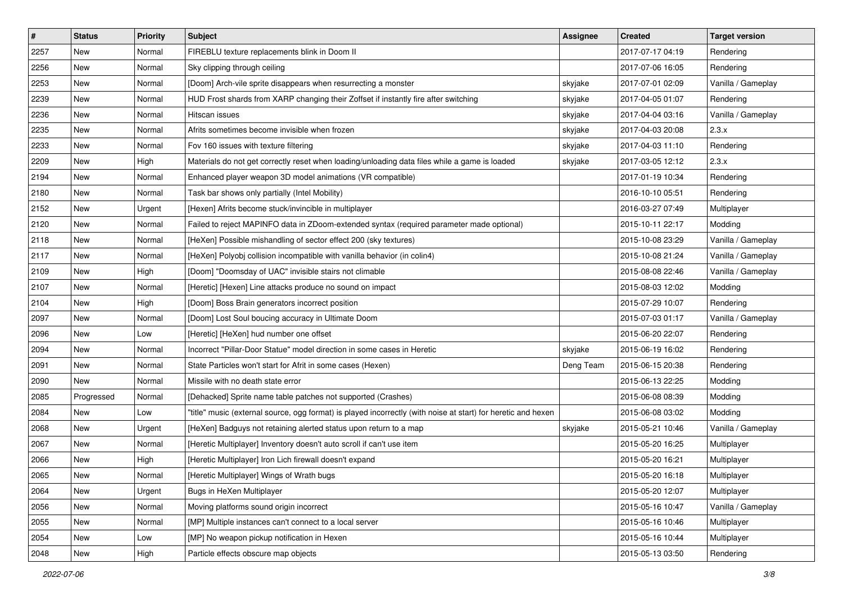| $\pmb{\#}$ | <b>Status</b> | <b>Priority</b> | Subject                                                                                                       | <b>Assignee</b> | <b>Created</b>   | <b>Target version</b> |
|------------|---------------|-----------------|---------------------------------------------------------------------------------------------------------------|-----------------|------------------|-----------------------|
| 2257       | New           | Normal          | FIREBLU texture replacements blink in Doom II                                                                 |                 | 2017-07-17 04:19 | Rendering             |
| 2256       | <b>New</b>    | Normal          | Sky clipping through ceiling                                                                                  |                 | 2017-07-06 16:05 | Rendering             |
| 2253       | New           | Normal          | [Doom] Arch-vile sprite disappears when resurrecting a monster                                                | skyjake         | 2017-07-01 02:09 | Vanilla / Gameplay    |
| 2239       | <b>New</b>    | Normal          | HUD Frost shards from XARP changing their Zoffset if instantly fire after switching                           | skyjake         | 2017-04-05 01:07 | Rendering             |
| 2236       | New           | Normal          | Hitscan issues                                                                                                | skyjake         | 2017-04-04 03:16 | Vanilla / Gameplay    |
| 2235       | New           | Normal          | Afrits sometimes become invisible when frozen                                                                 | skyjake         | 2017-04-03 20:08 | 2.3.x                 |
| 2233       | New           | Normal          | Fov 160 issues with texture filtering                                                                         | skyjake         | 2017-04-03 11:10 | Rendering             |
| 2209       | New           | High            | Materials do not get correctly reset when loading/unloading data files while a game is loaded                 | skyjake         | 2017-03-05 12:12 | 2.3.x                 |
| 2194       | New           | Normal          | Enhanced player weapon 3D model animations (VR compatible)                                                    |                 | 2017-01-19 10:34 | Rendering             |
| 2180       | New           | Normal          | Task bar shows only partially (Intel Mobility)                                                                |                 | 2016-10-10 05:51 | Rendering             |
| 2152       | New           | Urgent          | [Hexen] Afrits become stuck/invincible in multiplayer                                                         |                 | 2016-03-27 07:49 | Multiplayer           |
| 2120       | New           | Normal          | Failed to reject MAPINFO data in ZDoom-extended syntax (required parameter made optional)                     |                 | 2015-10-11 22:17 | Modding               |
| 2118       | <b>New</b>    | Normal          | [HeXen] Possible mishandling of sector effect 200 (sky textures)                                              |                 | 2015-10-08 23:29 | Vanilla / Gameplay    |
| 2117       | New           | Normal          | [HeXen] Polyobj collision incompatible with vanilla behavior (in colin4)                                      |                 | 2015-10-08 21:24 | Vanilla / Gameplay    |
| 2109       | <b>New</b>    | High            | [Doom] "Doomsday of UAC" invisible stairs not climable                                                        |                 | 2015-08-08 22:46 | Vanilla / Gameplay    |
| 2107       | New           | Normal          | [Heretic] [Hexen] Line attacks produce no sound on impact                                                     |                 | 2015-08-03 12:02 | Modding               |
| 2104       | New           | High            | [Doom] Boss Brain generators incorrect position                                                               |                 | 2015-07-29 10:07 | Rendering             |
| 2097       | New           | Normal          | [Doom] Lost Soul boucing accuracy in Ultimate Doom                                                            |                 | 2015-07-03 01:17 | Vanilla / Gameplay    |
| 2096       | New           | Low             | [Heretic] [HeXen] hud number one offset                                                                       |                 | 2015-06-20 22:07 | Rendering             |
| 2094       | <b>New</b>    | Normal          | Incorrect "Pillar-Door Statue" model direction in some cases in Heretic                                       | skyjake         | 2015-06-19 16:02 | Rendering             |
| 2091       | New           | Normal          | State Particles won't start for Afrit in some cases (Hexen)                                                   | Deng Team       | 2015-06-15 20:38 | Rendering             |
| 2090       | New           | Normal          | Missile with no death state error                                                                             |                 | 2015-06-13 22:25 | Modding               |
| 2085       | Progressed    | Normal          | [Dehacked] Sprite name table patches not supported (Crashes)                                                  |                 | 2015-06-08 08:39 | Modding               |
| 2084       | New           | Low             | "title" music (external source, ogg format) is played incorrectly (with noise at start) for heretic and hexen |                 | 2015-06-08 03:02 | Modding               |
| 2068       | New           | Urgent          | [HeXen] Badguys not retaining alerted status upon return to a map                                             | skyjake         | 2015-05-21 10:46 | Vanilla / Gameplay    |
| 2067       | <b>New</b>    | Normal          | [Heretic Multiplayer] Inventory doesn't auto scroll if can't use item                                         |                 | 2015-05-20 16:25 | Multiplayer           |
| 2066       | New           | High            | [Heretic Multiplayer] Iron Lich firewall doesn't expand                                                       |                 | 2015-05-20 16:21 | Multiplayer           |
| 2065       | New           | Normal          | [Heretic Multiplayer] Wings of Wrath bugs                                                                     |                 | 2015-05-20 16:18 | Multiplayer           |
| 2064       | New           | Urgent          | Bugs in HeXen Multiplayer                                                                                     |                 | 2015-05-20 12:07 | Multiplayer           |
| 2056       | New           | Normal          | Moving platforms sound origin incorrect                                                                       |                 | 2015-05-16 10:47 | Vanilla / Gameplay    |
| 2055       | New           | Normal          | [MP] Multiple instances can't connect to a local server                                                       |                 | 2015-05-16 10:46 | Multiplayer           |
| 2054       | New           | Low             | [MP] No weapon pickup notification in Hexen                                                                   |                 | 2015-05-16 10:44 | Multiplayer           |
| 2048       | New           | High            | Particle effects obscure map objects                                                                          |                 | 2015-05-13 03:50 | Rendering             |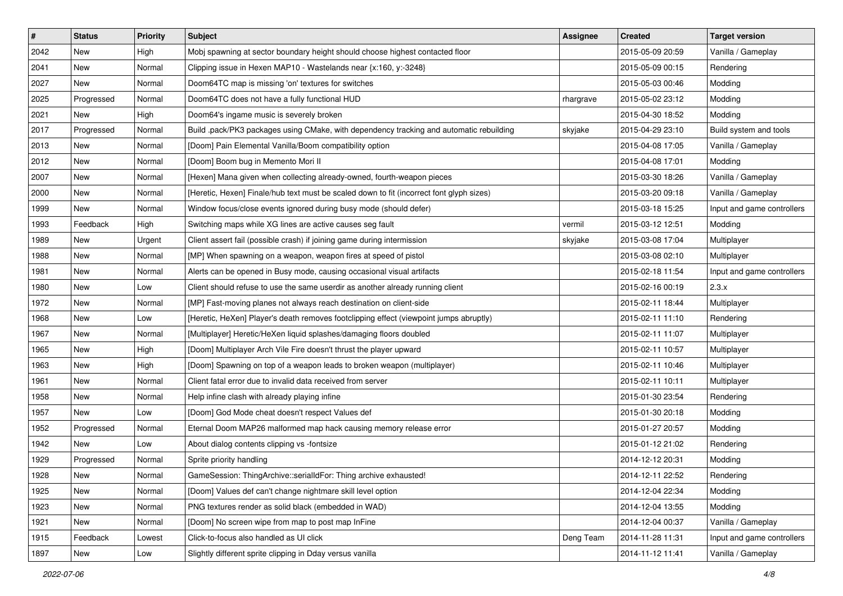| $\#$ | <b>Status</b> | <b>Priority</b> | Subject                                                                                  | Assignee  | <b>Created</b>   | <b>Target version</b>      |
|------|---------------|-----------------|------------------------------------------------------------------------------------------|-----------|------------------|----------------------------|
| 2042 | New           | High            | Mobj spawning at sector boundary height should choose highest contacted floor            |           | 2015-05-09 20:59 | Vanilla / Gameplay         |
| 2041 | New           | Normal          | Clipping issue in Hexen MAP10 - Wastelands near {x:160, y:-3248}                         |           | 2015-05-09 00:15 | Rendering                  |
| 2027 | New           | Normal          | Doom64TC map is missing 'on' textures for switches                                       |           | 2015-05-03 00:46 | Modding                    |
| 2025 | Progressed    | Normal          | Doom64TC does not have a fully functional HUD                                            | rhargrave | 2015-05-02 23:12 | Modding                    |
| 2021 | <b>New</b>    | High            | Doom64's ingame music is severely broken                                                 |           | 2015-04-30 18:52 | Modding                    |
| 2017 | Progressed    | Normal          | Build .pack/PK3 packages using CMake, with dependency tracking and automatic rebuilding  | skyjake   | 2015-04-29 23:10 | Build system and tools     |
| 2013 | <b>New</b>    | Normal          | [Doom] Pain Elemental Vanilla/Boom compatibility option                                  |           | 2015-04-08 17:05 | Vanilla / Gameplay         |
| 2012 | New           | Normal          | [Doom] Boom bug in Memento Mori II                                                       |           | 2015-04-08 17:01 | Modding                    |
| 2007 | New           | Normal          | [Hexen] Mana given when collecting already-owned, fourth-weapon pieces                   |           | 2015-03-30 18:26 | Vanilla / Gameplay         |
| 2000 | New           | Normal          | [Heretic, Hexen] Finale/hub text must be scaled down to fit (incorrect font glyph sizes) |           | 2015-03-20 09:18 | Vanilla / Gameplay         |
| 1999 | New           | Normal          | Window focus/close events ignored during busy mode (should defer)                        |           | 2015-03-18 15:25 | Input and game controllers |
| 1993 | Feedback      | High            | Switching maps while XG lines are active causes seg fault                                | vermil    | 2015-03-12 12:51 | Modding                    |
| 1989 | New           | Urgent          | Client assert fail (possible crash) if joining game during intermission                  | skyjake   | 2015-03-08 17:04 | Multiplayer                |
| 1988 | <b>New</b>    | Normal          | [MP] When spawning on a weapon, weapon fires at speed of pistol                          |           | 2015-03-08 02:10 | Multiplayer                |
| 1981 | New           | Normal          | Alerts can be opened in Busy mode, causing occasional visual artifacts                   |           | 2015-02-18 11:54 | Input and game controllers |
| 1980 | New           | Low             | Client should refuse to use the same userdir as another already running client           |           | 2015-02-16 00:19 | 2.3.x                      |
| 1972 | New           | Normal          | [MP] Fast-moving planes not always reach destination on client-side                      |           | 2015-02-11 18:44 | Multiplayer                |
| 1968 | New           | Low             | [Heretic, HeXen] Player's death removes footclipping effect (viewpoint jumps abruptly)   |           | 2015-02-11 11:10 | Rendering                  |
| 1967 | New           | Normal          | [Multiplayer] Heretic/HeXen liquid splashes/damaging floors doubled                      |           | 2015-02-11 11:07 | Multiplayer                |
| 1965 | New           | High            | [Doom] Multiplayer Arch Vile Fire doesn't thrust the player upward                       |           | 2015-02-11 10:57 | Multiplayer                |
| 1963 | New           | High            | [Doom] Spawning on top of a weapon leads to broken weapon (multiplayer)                  |           | 2015-02-11 10:46 | Multiplayer                |
| 1961 | New           | Normal          | Client fatal error due to invalid data received from server                              |           | 2015-02-11 10:11 | Multiplayer                |
| 1958 | <b>New</b>    | Normal          | Help infine clash with already playing infine                                            |           | 2015-01-30 23:54 | Rendering                  |
| 1957 | New           | Low             | [Doom] God Mode cheat doesn't respect Values def                                         |           | 2015-01-30 20:18 | Modding                    |
| 1952 | Progressed    | Normal          | Eternal Doom MAP26 malformed map hack causing memory release error                       |           | 2015-01-27 20:57 | Modding                    |
| 1942 | New           | Low             | About dialog contents clipping vs -fontsize                                              |           | 2015-01-12 21:02 | Rendering                  |
| 1929 | Progressed    | Normal          | Sprite priority handling                                                                 |           | 2014-12-12 20:31 | Modding                    |
| 1928 | New           | Normal          | GameSession: ThingArchive::serialIdFor: Thing archive exhausted!                         |           | 2014-12-11 22:52 | Rendering                  |
| 1925 | New           | Normal          | [Doom] Values def can't change nightmare skill level option                              |           | 2014-12-04 22:34 | Modding                    |
| 1923 | New           | Normal          | PNG textures render as solid black (embedded in WAD)                                     |           | 2014-12-04 13:55 | Modding                    |
| 1921 | New           | Normal          | [Doom] No screen wipe from map to post map InFine                                        |           | 2014-12-04 00:37 | Vanilla / Gameplay         |
| 1915 | Feedback      | Lowest          | Click-to-focus also handled as UI click                                                  | Deng Team | 2014-11-28 11:31 | Input and game controllers |
| 1897 | New           | Low             | Slightly different sprite clipping in Dday versus vanilla                                |           | 2014-11-12 11:41 | Vanilla / Gameplay         |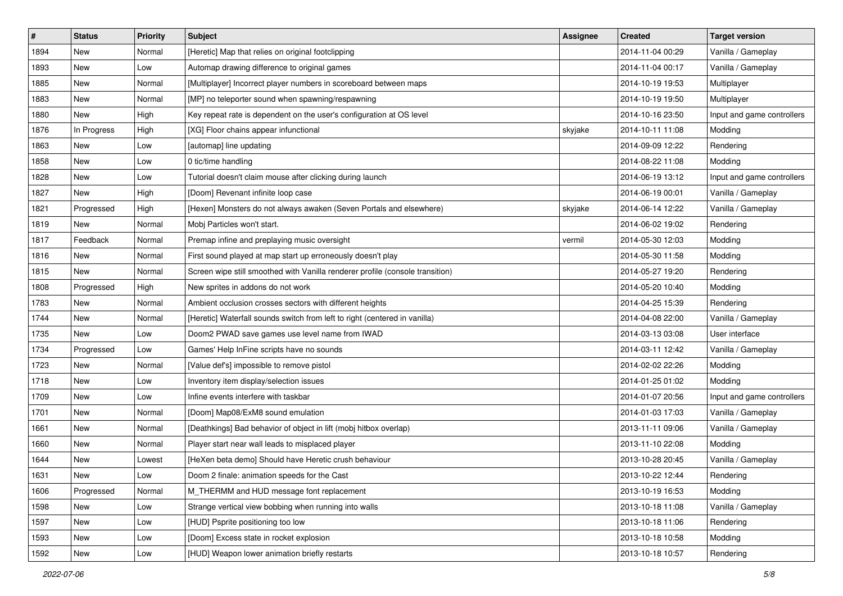| #    | <b>Status</b> | <b>Priority</b> | <b>Subject</b>                                                                | Assignee | <b>Created</b>   | <b>Target version</b>      |
|------|---------------|-----------------|-------------------------------------------------------------------------------|----------|------------------|----------------------------|
| 1894 | New           | Normal          | [Heretic] Map that relies on original footclipping                            |          | 2014-11-04 00:29 | Vanilla / Gameplay         |
| 1893 | <b>New</b>    | Low             | Automap drawing difference to original games                                  |          | 2014-11-04 00:17 | Vanilla / Gameplay         |
| 1885 | New           | Normal          | [Multiplayer] Incorrect player numbers in scoreboard between maps             |          | 2014-10-19 19:53 | Multiplayer                |
| 1883 | New           | Normal          | [MP] no teleporter sound when spawning/respawning                             |          | 2014-10-19 19:50 | Multiplayer                |
| 1880 | New           | High            | Key repeat rate is dependent on the user's configuration at OS level          |          | 2014-10-16 23:50 | Input and game controllers |
| 1876 | In Progress   | High            | [XG] Floor chains appear infunctional                                         | skyjake  | 2014-10-11 11:08 | Modding                    |
| 1863 | New           | Low             | [automap] line updating                                                       |          | 2014-09-09 12:22 | Rendering                  |
| 1858 | New           | Low             | 0 tic/time handling                                                           |          | 2014-08-22 11:08 | Modding                    |
| 1828 | New           | Low             | Tutorial doesn't claim mouse after clicking during launch                     |          | 2014-06-19 13:12 | Input and game controllers |
| 1827 | New           | High            | [Doom] Revenant infinite loop case                                            |          | 2014-06-19 00:01 | Vanilla / Gameplay         |
| 1821 | Progressed    | High            | [Hexen] Monsters do not always awaken (Seven Portals and elsewhere)           | skyjake  | 2014-06-14 12:22 | Vanilla / Gameplay         |
| 1819 | New           | Normal          | Mobi Particles won't start.                                                   |          | 2014-06-02 19:02 | Rendering                  |
| 1817 | Feedback      | Normal          | Premap infine and preplaying music oversight                                  | vermil   | 2014-05-30 12:03 | Modding                    |
| 1816 | New           | Normal          | First sound played at map start up erroneously doesn't play                   |          | 2014-05-30 11:58 | Modding                    |
| 1815 | New           | Normal          | Screen wipe still smoothed with Vanilla renderer profile (console transition) |          | 2014-05-27 19:20 | Rendering                  |
| 1808 | Progressed    | High            | New sprites in addons do not work                                             |          | 2014-05-20 10:40 | Modding                    |
| 1783 | New           | Normal          | Ambient occlusion crosses sectors with different heights                      |          | 2014-04-25 15:39 | Rendering                  |
| 1744 | New           | Normal          | [Heretic] Waterfall sounds switch from left to right (centered in vanilla)    |          | 2014-04-08 22:00 | Vanilla / Gameplay         |
| 1735 | New           | Low             | Doom2 PWAD save games use level name from IWAD                                |          | 2014-03-13 03:08 | User interface             |
| 1734 | Progressed    | Low             | Games' Help InFine scripts have no sounds                                     |          | 2014-03-11 12:42 | Vanilla / Gameplay         |
| 1723 | New           | Normal          | [Value def's] impossible to remove pistol                                     |          | 2014-02-02 22:26 | Modding                    |
| 1718 | New           | Low             | Inventory item display/selection issues                                       |          | 2014-01-25 01:02 | Modding                    |
| 1709 | New           | Low             | Infine events interfere with taskbar                                          |          | 2014-01-07 20:56 | Input and game controllers |
| 1701 | New           | Normal          | [Doom] Map08/ExM8 sound emulation                                             |          | 2014-01-03 17:03 | Vanilla / Gameplay         |
| 1661 | New           | Normal          | [Deathkings] Bad behavior of object in lift (mobj hitbox overlap)             |          | 2013-11-11 09:06 | Vanilla / Gameplay         |
| 1660 | New           | Normal          | Player start near wall leads to misplaced player                              |          | 2013-11-10 22:08 | Modding                    |
| 1644 | New           | Lowest          | [HeXen beta demo] Should have Heretic crush behaviour                         |          | 2013-10-28 20:45 | Vanilla / Gameplay         |
| 1631 | New           | .ow             | Doom 2 finale: animation speeds for the Cast                                  |          | 2013-10-22 12:44 | Rendering                  |
| 1606 | Progressed    | Normal          | M_THERMM and HUD message font replacement                                     |          | 2013-10-19 16:53 | Modding                    |
| 1598 | New           | Low             | Strange vertical view bobbing when running into walls                         |          | 2013-10-18 11:08 | Vanilla / Gameplay         |
| 1597 | New           | Low             | [HUD] Psprite positioning too low                                             |          | 2013-10-18 11:06 | Rendering                  |
| 1593 | New           | Low             | [Doom] Excess state in rocket explosion                                       |          | 2013-10-18 10:58 | Modding                    |
| 1592 | New           | Low             | [HUD] Weapon lower animation briefly restarts                                 |          | 2013-10-18 10:57 | Rendering                  |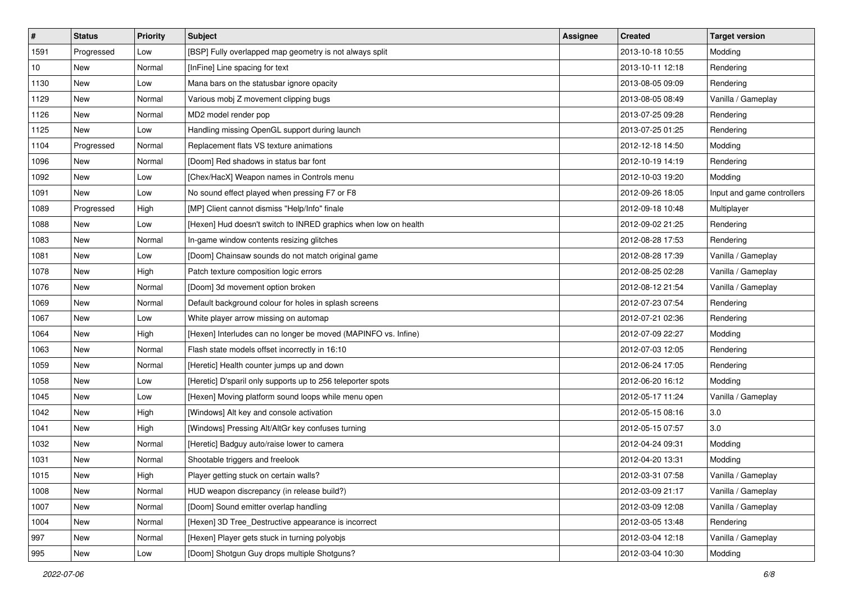| $\sharp$ | <b>Status</b> | <b>Priority</b> | <b>Subject</b>                                                  | Assignee | <b>Created</b>   | <b>Target version</b>      |
|----------|---------------|-----------------|-----------------------------------------------------------------|----------|------------------|----------------------------|
| 1591     | Progressed    | Low             | [BSP] Fully overlapped map geometry is not always split         |          | 2013-10-18 10:55 | Modding                    |
| 10       | New           | Normal          | [InFine] Line spacing for text                                  |          | 2013-10-11 12:18 | Rendering                  |
| 1130     | New           | Low             | Mana bars on the statusbar ignore opacity                       |          | 2013-08-05 09:09 | Rendering                  |
| 1129     | New           | Normal          | Various mobj Z movement clipping bugs                           |          | 2013-08-05 08:49 | Vanilla / Gameplay         |
| 1126     | New           | Normal          | MD2 model render pop                                            |          | 2013-07-25 09:28 | Rendering                  |
| 1125     | New           | Low             | Handling missing OpenGL support during launch                   |          | 2013-07-25 01:25 | Rendering                  |
| 1104     | Progressed    | Normal          | Replacement flats VS texture animations                         |          | 2012-12-18 14:50 | Modding                    |
| 1096     | New           | Normal          | [Doom] Red shadows in status bar font                           |          | 2012-10-19 14:19 | Rendering                  |
| 1092     | New           | Low             | [Chex/HacX] Weapon names in Controls menu                       |          | 2012-10-03 19:20 | Modding                    |
| 1091     | New           | Low             | No sound effect played when pressing F7 or F8                   |          | 2012-09-26 18:05 | Input and game controllers |
| 1089     | Progressed    | High            | [MP] Client cannot dismiss "Help/Info" finale                   |          | 2012-09-18 10:48 | Multiplayer                |
| 1088     | <b>New</b>    | Low             | [Hexen] Hud doesn't switch to INRED graphics when low on health |          | 2012-09-02 21:25 | Rendering                  |
| 1083     | New           | Normal          | In-game window contents resizing glitches                       |          | 2012-08-28 17:53 | Rendering                  |
| 1081     | New           | Low             | [Doom] Chainsaw sounds do not match original game               |          | 2012-08-28 17:39 | Vanilla / Gameplay         |
| 1078     | New           | High            | Patch texture composition logic errors                          |          | 2012-08-25 02:28 | Vanilla / Gameplay         |
| 1076     | New           | Normal          | [Doom] 3d movement option broken                                |          | 2012-08-12 21:54 | Vanilla / Gameplay         |
| 1069     | New           | Normal          | Default background colour for holes in splash screens           |          | 2012-07-23 07:54 | Rendering                  |
| 1067     | New           | Low             | White player arrow missing on automap                           |          | 2012-07-21 02:36 | Rendering                  |
| 1064     | New           | High            | [Hexen] Interludes can no longer be moved (MAPINFO vs. Infine)  |          | 2012-07-09 22:27 | Modding                    |
| 1063     | <b>New</b>    | Normal          | Flash state models offset incorrectly in 16:10                  |          | 2012-07-03 12:05 | Rendering                  |
| 1059     | New           | Normal          | [Heretic] Health counter jumps up and down                      |          | 2012-06-24 17:05 | Rendering                  |
| 1058     | New           | Low             | [Heretic] D'sparil only supports up to 256 teleporter spots     |          | 2012-06-20 16:12 | Modding                    |
| 1045     | New           | Low             | [Hexen] Moving platform sound loops while menu open             |          | 2012-05-17 11:24 | Vanilla / Gameplay         |
| 1042     | New           | High            | [Windows] Alt key and console activation                        |          | 2012-05-15 08:16 | 3.0                        |
| 1041     | New           | High            | [Windows] Pressing Alt/AltGr key confuses turning               |          | 2012-05-15 07:57 | 3.0                        |
| 1032     | New           | Normal          | [Heretic] Badguy auto/raise lower to camera                     |          | 2012-04-24 09:31 | Modding                    |
| 1031     | New           | Normal          | Shootable triggers and freelook                                 |          | 2012-04-20 13:31 | Modding                    |
| 1015     | New           | High            | Player getting stuck on certain walls?                          |          | 2012-03-31 07:58 | Vanilla / Gameplay         |
| 1008     | New           | Normal          | HUD weapon discrepancy (in release build?)                      |          | 2012-03-09 21:17 | Vanilla / Gameplay         |
| 1007     | New           | Normal          | [Doom] Sound emitter overlap handling                           |          | 2012-03-09 12:08 | Vanilla / Gameplay         |
| 1004     | New           | Normal          | [Hexen] 3D Tree_Destructive appearance is incorrect             |          | 2012-03-05 13:48 | Rendering                  |
| 997      | New           | Normal          | [Hexen] Player gets stuck in turning polyobjs                   |          | 2012-03-04 12:18 | Vanilla / Gameplay         |
| 995      | New           | Low             | [Doom] Shotgun Guy drops multiple Shotguns?                     |          | 2012-03-04 10:30 | Modding                    |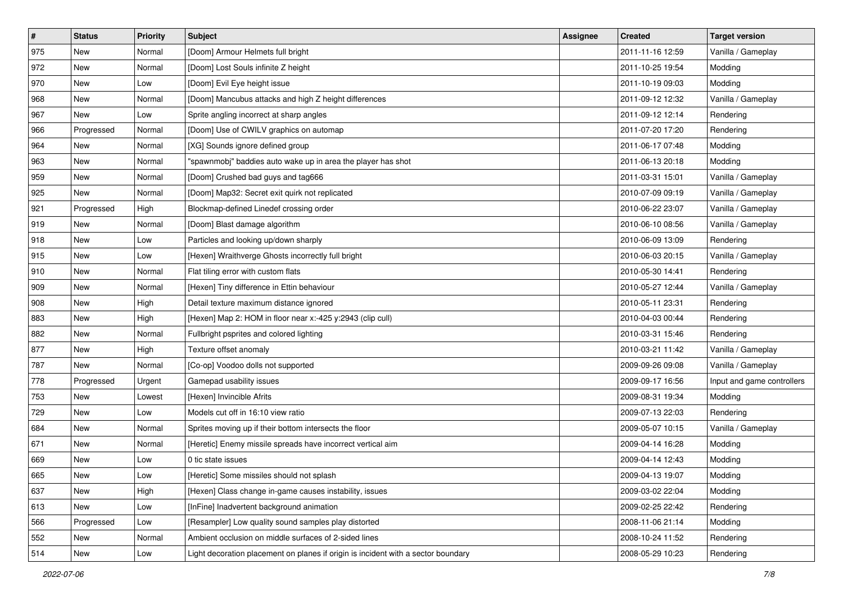| $\vert$ # | <b>Status</b> | <b>Priority</b> | Subject                                                                           | <b>Assignee</b> | <b>Created</b>   | <b>Target version</b>      |
|-----------|---------------|-----------------|-----------------------------------------------------------------------------------|-----------------|------------------|----------------------------|
| 975       | New           | Normal          | [Doom] Armour Helmets full bright                                                 |                 | 2011-11-16 12:59 | Vanilla / Gameplay         |
| 972       | New           | Normal          | [Doom] Lost Souls infinite Z height                                               |                 | 2011-10-25 19:54 | Modding                    |
| 970       | <b>New</b>    | Low             | [Doom] Evil Eye height issue                                                      |                 | 2011-10-19 09:03 | Modding                    |
| 968       | New           | Normal          | [Doom] Mancubus attacks and high Z height differences                             |                 | 2011-09-12 12:32 | Vanilla / Gameplay         |
| 967       | <b>New</b>    | Low             | Sprite angling incorrect at sharp angles                                          |                 | 2011-09-12 12:14 | Rendering                  |
| 966       | Progressed    | Normal          | [Doom] Use of CWILV graphics on automap                                           |                 | 2011-07-20 17:20 | Rendering                  |
| 964       | <b>New</b>    | Normal          | [XG] Sounds ignore defined group                                                  |                 | 2011-06-17 07:48 | Modding                    |
| 963       | <b>New</b>    | Normal          | "spawnmobj" baddies auto wake up in area the player has shot                      |                 | 2011-06-13 20:18 | Modding                    |
| 959       | New           | Normal          | [Doom] Crushed bad guys and tag666                                                |                 | 2011-03-31 15:01 | Vanilla / Gameplay         |
| 925       | <b>New</b>    | Normal          | [Doom] Map32: Secret exit quirk not replicated                                    |                 | 2010-07-09 09:19 | Vanilla / Gameplay         |
| 921       | Progressed    | High            | Blockmap-defined Linedef crossing order                                           |                 | 2010-06-22 23:07 | Vanilla / Gameplay         |
| 919       | <b>New</b>    | Normal          | [Doom] Blast damage algorithm                                                     |                 | 2010-06-10 08:56 | Vanilla / Gameplay         |
| 918       | New           | Low             | Particles and looking up/down sharply                                             |                 | 2010-06-09 13:09 | Rendering                  |
| 915       | <b>New</b>    | Low             | [Hexen] Wraithverge Ghosts incorrectly full bright                                |                 | 2010-06-03 20:15 | Vanilla / Gameplay         |
| 910       | New           | Normal          | Flat tiling error with custom flats                                               |                 | 2010-05-30 14:41 | Rendering                  |
| 909       | <b>New</b>    | Normal          | [Hexen] Tiny difference in Ettin behaviour                                        |                 | 2010-05-27 12:44 | Vanilla / Gameplay         |
| 908       | New           | High            | Detail texture maximum distance ignored                                           |                 | 2010-05-11 23:31 | Rendering                  |
| 883       | New           | High            | [Hexen] Map 2: HOM in floor near x:-425 y:2943 (clip cull)                        |                 | 2010-04-03 00:44 | Rendering                  |
| 882       | New           | Normal          | Fullbright psprites and colored lighting                                          |                 | 2010-03-31 15:46 | Rendering                  |
| 877       | New           | High            | Texture offset anomaly                                                            |                 | 2010-03-21 11:42 | Vanilla / Gameplay         |
| 787       | New           | Normal          | [Co-op] Voodoo dolls not supported                                                |                 | 2009-09-26 09:08 | Vanilla / Gameplay         |
| 778       | Progressed    | Urgent          | Gamepad usability issues                                                          |                 | 2009-09-17 16:56 | Input and game controllers |
| 753       | <b>New</b>    | Lowest          | [Hexen] Invincible Afrits                                                         |                 | 2009-08-31 19:34 | Modding                    |
| 729       | New           | Low             | Models cut off in 16:10 view ratio                                                |                 | 2009-07-13 22:03 | Rendering                  |
| 684       | <b>New</b>    | Normal          | Sprites moving up if their bottom intersects the floor                            |                 | 2009-05-07 10:15 | Vanilla / Gameplay         |
| 671       | New           | Normal          | [Heretic] Enemy missile spreads have incorrect vertical aim                       |                 | 2009-04-14 16:28 | Modding                    |
| 669       | New           | Low             | 0 tic state issues                                                                |                 | 2009-04-14 12:43 | Modding                    |
| 665       | New           | Low             | [Heretic] Some missiles should not splash                                         |                 | 2009-04-13 19:07 | Modding                    |
| 637       | New           | High            | [Hexen] Class change in-game causes instability, issues                           |                 | 2009-03-02 22:04 | Modding                    |
| 613       | New           | Low             | [InFine] Inadvertent background animation                                         |                 | 2009-02-25 22:42 | Rendering                  |
| 566       | Progressed    | Low             | [Resampler] Low quality sound samples play distorted                              |                 | 2008-11-06 21:14 | Modding                    |
| 552       | New           | Normal          | Ambient occlusion on middle surfaces of 2-sided lines                             |                 | 2008-10-24 11:52 | Rendering                  |
| 514       | New           | Low             | Light decoration placement on planes if origin is incident with a sector boundary |                 | 2008-05-29 10:23 | Rendering                  |